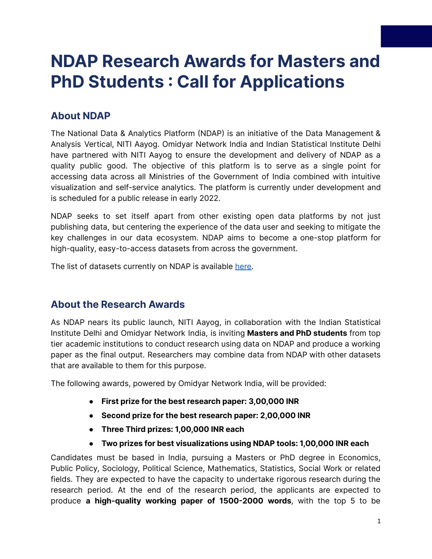# **NDAP Research Awards for Masters and PhD Students : Call for Applications**

## **About NDAP**

The National Data & Analytics Platform (NDAP) is an initiative of the Data Management & Analysis Vertical, NITI Aayog. Omidyar Network India and Indian Statistical Institute Delhi have partnered with NITI Aayog to ensure the development and delivery of NDAP as a quality public good. The objective of this platform is to serve as a single point for accessing data across all Ministries of the Government of India combined with intuitive visualization and self-service analytics. The platform is currently under development and is scheduled for a public release in early 2022.

NDAP seeks to set itself apart from other existing open data platforms by not just publishing data, but centering the experience of the data user and seeking to mitigate the key challenges in our data ecosystem. NDAP aims to become a one-stop platform for high-quality, easy-to-access datasets from across the government.

The list of datasets currently on NDAP is available [here.](https://drive.google.com/file/d/1rpwhbHWkpUz8Hm0cF3QUtl5BoZUPp6no/view?usp=sharing)

### **About the Research Awards**

As NDAP nears its public launch, NITI Aayog, in collaboration with the Indian Statistical Institute Delhi and Omidyar Network India, is inviting **Masters and PhD students** from top tier academic institutions to conduct research using data on NDAP and produce a working paper as the final output. Researchers may combine data from NDAP with other datasets that are available to them for this purpose.

The following awards, powered by Omidyar Network India, will be provided:

- **● First prize for the best research paper: 3,00,000 INR**
- **● Second prize for the best research paper: 2,00,000 INR**
- **Three Third prizes: 1,00,000 INR each**
- **● Two prizes for best visualizations using NDAP tools: 1,00,000 INR each**

Candidates must be based in India, pursuing a Masters or PhD degree in Economics, Public Policy, Sociology, Political Science, Mathematics, Statistics, Social Work or related fields. They are expected to have the capacity to undertake rigorous research during the research period. At the end of the research period, the applicants are expected to produce **a high-quality working paper of 1500-2000 words**, with the top 5 to be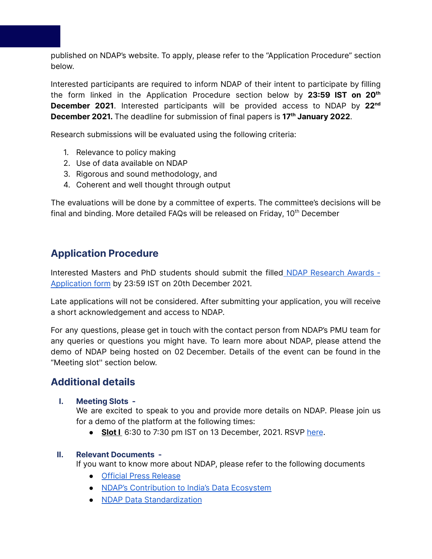published on NDAP's website. To apply, please refer to the "Application Procedure" section below.

Interested participants are required to inform NDAP of their intent to participate by filling the form linked in the Application Procedure section below by **23:59 IST on 20 th December 2021**. Interested participants will be provided access to NDAP by 22<sup>nd</sup> **December 2021.** The deadline for submission of final papers is **17 th January 2022**.

Research submissions will be evaluated using the following criteria:

- 1. Relevance to policy making
- 2. Use of data available on NDAP
- 3. Rigorous and sound methodology, and
- 4. Coherent and well thought through output

The evaluations will be done by a committee of experts. The committee's decisions will be final and binding. More detailed FAQs will be released on Friday, 10<sup>th</sup> December

## **Application Procedure**

Interested Masters and PhD students should submit the filled NDAP [Research](https://docs.google.com/forms/d/e/1FAIpQLSez9bkuo5MScIi4f8V5gR41nm-ODlO4rvKvyR_OJpBAy7ikVw/viewform?vc=0&c=0&w=1&flr=0&usp=mail_form_link) Awards - [Application](https://docs.google.com/forms/d/e/1FAIpQLSez9bkuo5MScIi4f8V5gR41nm-ODlO4rvKvyR_OJpBAy7ikVw/viewform?vc=0&c=0&w=1&flr=0&usp=mail_form_link) form by 23:59 IST on 20th December 2021.

Late applications will not be considered. After submitting your application, you will receive a short acknowledgement and access to NDAP.

For any questions, please get in touch with the contact person from NDAP's PMU team for any queries or questions you might have. To learn more about NDAP, please attend the demo of NDAP being hosted on 02 December. Details of the event can be found in the "Meeting slot'' section below.

## **Additional details**

#### **I. Meeting Slots -**

We are excited to speak to you and provide more details on NDAP. Please join us for a demo of the platform at the following times:

• Slot I 6:30 to 7:30 pm IST on 13 December, 2021. RSVP [here](https://docs.google.com/forms/d/e/1FAIpQLSe4KKsYq5qVlpEfFA7PnM1FSlAGlAimBEYovoK6w_Rm8IvwuQ/viewform?vc=0&c=0&w=1&flr=0).

#### **II. Relevant Documents -**

If you want to know more about NDAP, please refer to the following documents

- Official Press [Release](https://pib.gov.in/PressReleaseIframePage.aspx?PRID=1600370)
- NDAP's [Contribution](https://docs.google.com/presentation/d/1Ihhu4Wp6-XXk2LKcNg8Sazp9JeytpnwLIfA_j-YFtMA/edit?usp=sharing) to India's Data Ecosystem
- NDAP Data [Standardization](https://docs.google.com/document/d/1JKJqRXF4uOx3VMRt36MspWqu6NZJY1P9EfEQzelVvEk/edit?usp=sharing)